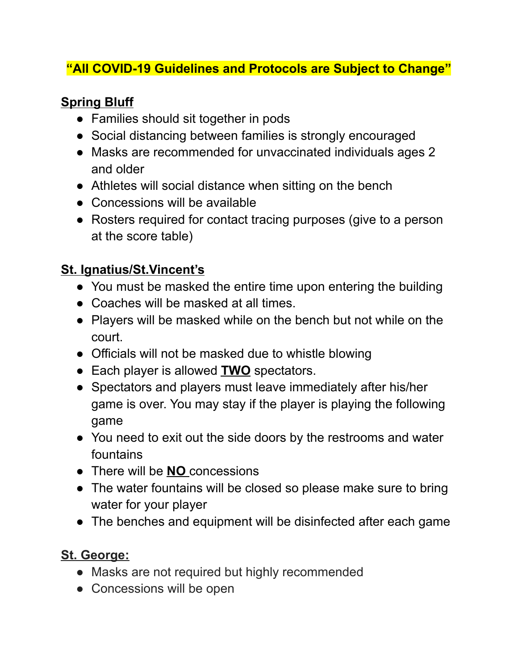### **"All COVID-19 Guidelines and Protocols are Subject to Change"**

## **Spring Bluff**

- Families should sit together in pods
- Social distancing between families is strongly encouraged
- Masks are recommended for unvaccinated individuals ages 2 and older
- Athletes will social distance when sitting on the bench
- Concessions will be available
- Rosters required for contact tracing purposes (give to a person at the score table)

## **St. Ignatius/St.Vincent's**

- You must be masked the entire time upon entering the building
- Coaches will be masked at all times.
- Players will be masked while on the bench but not while on the court.
- Officials will not be masked due to whistle blowing
- Each player is allowed **TWO** spectators.
- Spectators and players must leave immediately after his/her game is over. You may stay if the player is playing the following game
- You need to exit out the side doors by the restrooms and water fountains
- There will be **NO** concessions
- The water fountains will be closed so please make sure to bring water for your player
- The benches and equipment will be disinfected after each game

### **St. George:**

- Masks are not required but highly recommended
- Concessions will be open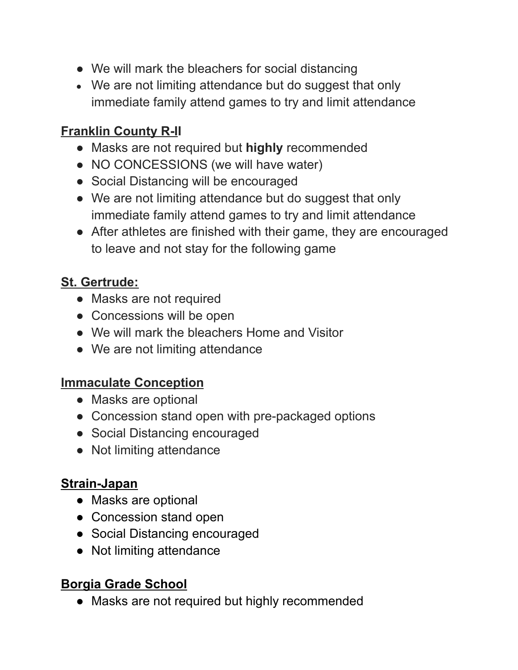- We will mark the bleachers for social distancing
- We are not limiting attendance but do suggest that only immediate family attend games to try and limit attendance

## **Franklin County R-II**

- Masks are not required but **highly** recommended
- NO CONCESSIONS (we will have water)
- Social Distancing will be encouraged
- We are not limiting attendance but do suggest that only immediate family attend games to try and limit attendance
- After athletes are finished with their game, they are encouraged to leave and not stay for the following game

# **St. Gertrude:**

- Masks are not required
- Concessions will be open
- We will mark the bleachers Home and Visitor
- We are not limiting attendance

### **Immaculate Conception**

- Masks are optional
- Concession stand open with pre-packaged options
- Social Distancing encouraged
- Not limiting attendance

### **Strain-Japan**

- Masks are optional
- Concession stand open
- Social Distancing encouraged
- Not limiting attendance

### **Borgia Grade School**

● Masks are not required but highly recommended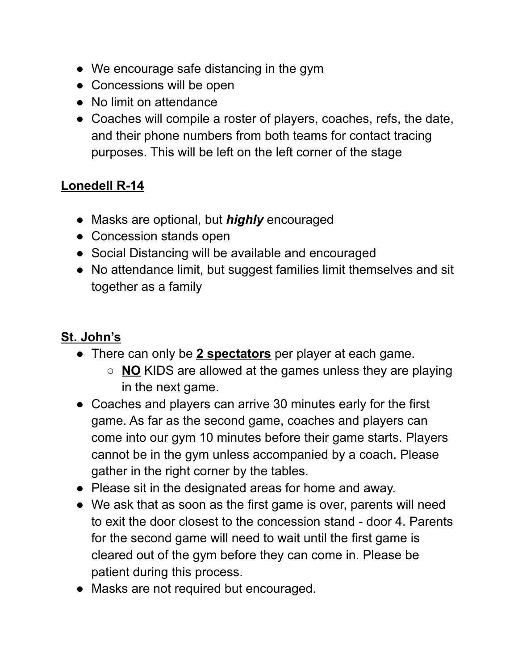- We encourage safe distancing in the gym
- Concessions will be open
- No limit on attendance
- Coaches will compile a roster of players, coaches, refs, the date, and their phone numbers from both teams for contact tracing purposes. This will be left on the left corner of the stage

#### **Lonedell R-14**

- Masks are optional, but *highly* encouraged
- Concession stands open
- Social Distancing will be available and encouraged
- No attendance limit, but suggest families limit themselves and sit together as a family

## **St. John's**

- There can only be **2 spectators** per player at each game.
	- **NO** KIDS are allowed at the games unless they are playing in the next game.
- Coaches and players can arrive 30 minutes early for the first game. As far as the second game, coaches and players can come into our gym 10 minutes before their game starts. Players cannot be in the gym unless accompanied by a coach. Please gather in the right corner by the tables.
- Please sit in the designated areas for home and away.
- We ask that as soon as the first game is over, parents will need to exit the door closest to the concession stand - door 4. Parents for the second game will need to wait until the first game is cleared out of the gym before they can come in. Please be patient during this process.
- Masks are not required but encouraged.